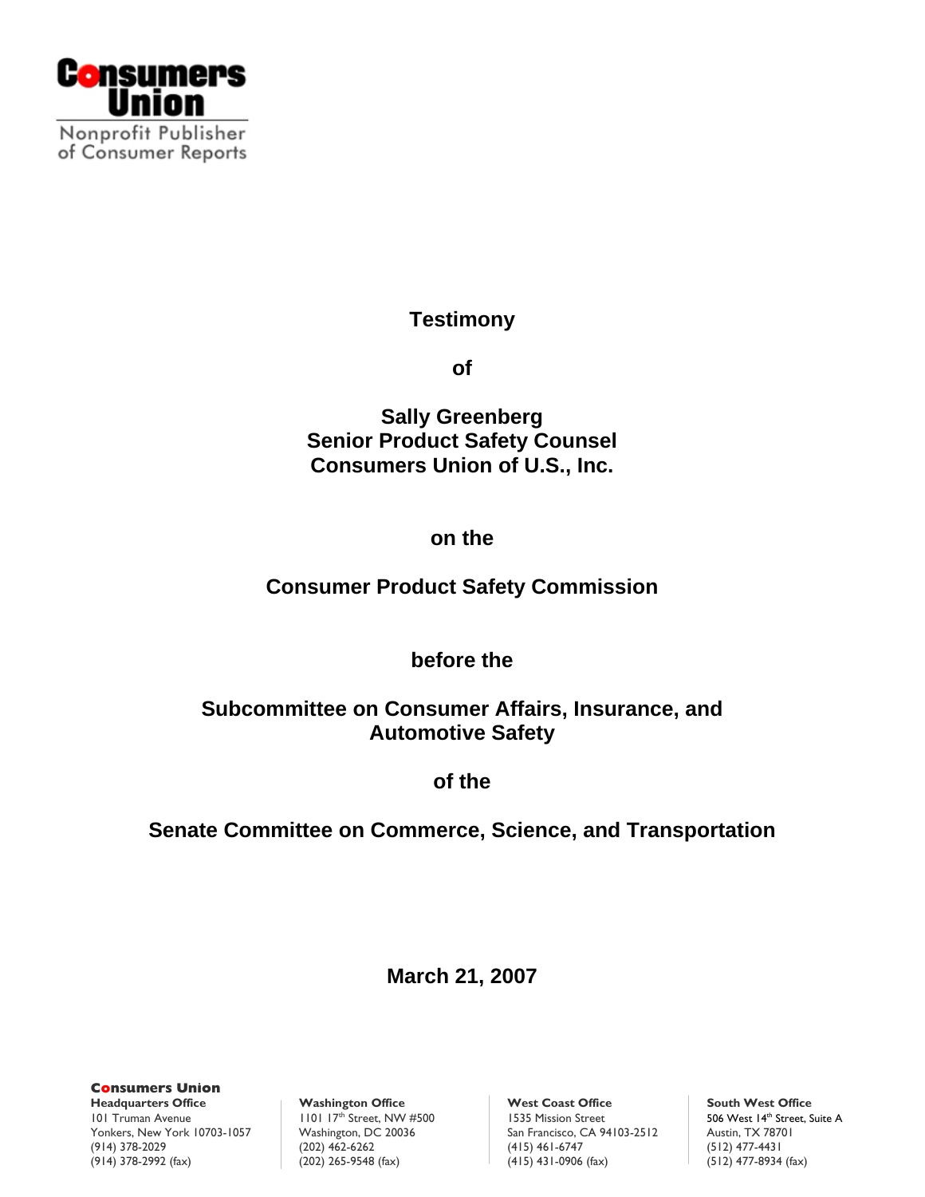

# **Testimony**

**of** 

**Sally Greenberg Senior Product Safety Counsel Consumers Union of U.S., Inc.** 

## **on the**

# **Consumer Product Safety Commission**

## **before the**

# **Subcommittee on Consumer Affairs, Insurance, and Automotive Safety**

**of the** 

# **Senate Committee on Commerce, Science, and Transportation**

**March 21, 2007** 

**Consumers Union**  101 Truman Avenue 1101 17<sup>th</sup> Street, NW #500 1535 Mission Street Yonkers, New York 10703-1057 Washington, DC 20036 San Francisco, CA 94103-2512 Austin, TX 78701<br>(914) 378-2029 (12) 477-4431 (415) 461-6747 (512) 477-4431 (914) 378-2992 (fax) (202) 265-9548 (fax) (415) 431-0906 (fax) (512) 477-8934 (fax)

**Washington Office** West Coast Office<br>  $\frac{101}{17}$  Street, NW #500 Street Street South West I4<sup>th</sup> Street, Suite A (415) 461-6747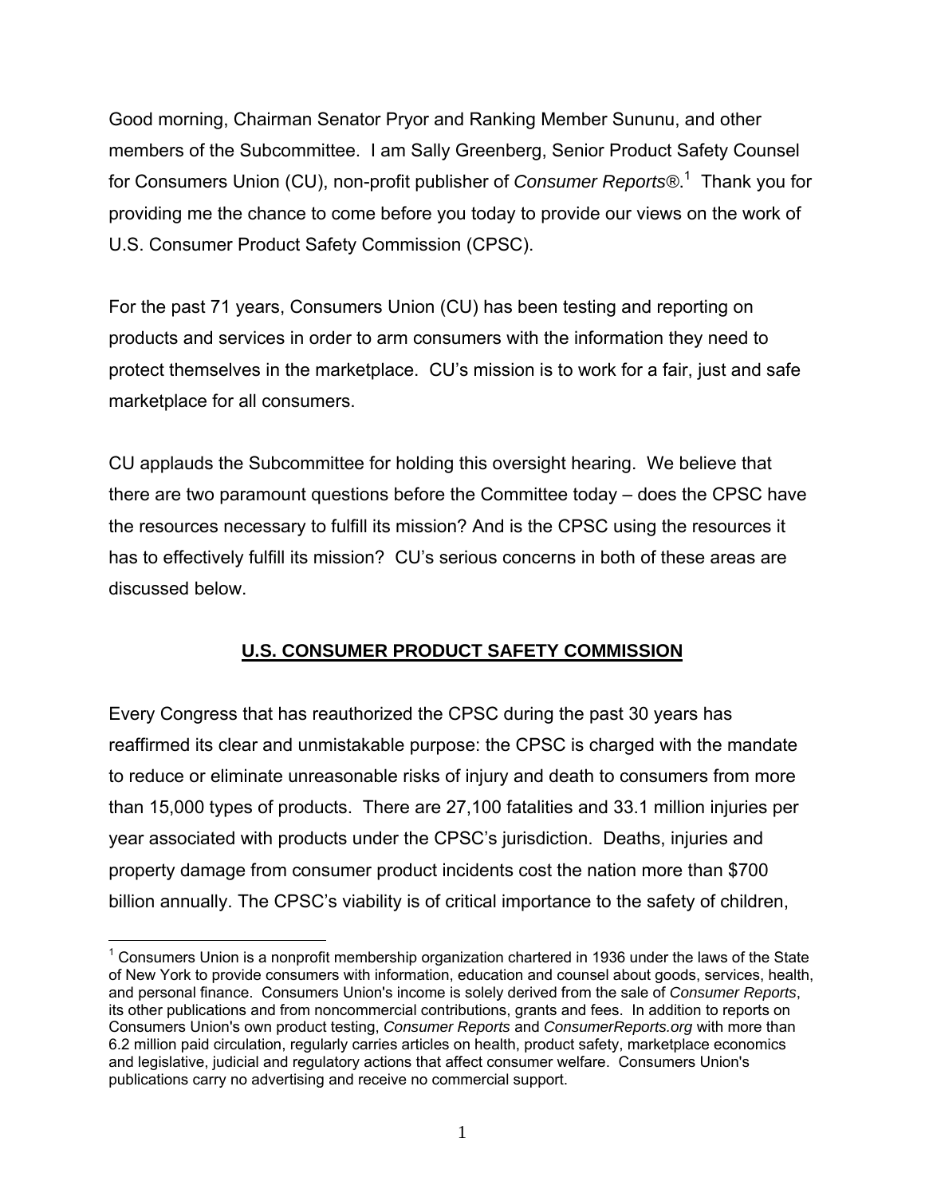Good morning, Chairman Senator Pryor and Ranking Member Sununu, and other members of the Subcommittee. I am Sally Greenberg, Senior Product Safety Counsel for Consumers Union (CU), non-profit publisher of *Consumer Reports®*. 1 Thank you for providing me the chance to come before you today to provide our views on the work of U.S. Consumer Product Safety Commission (CPSC).

For the past 71 years, Consumers Union (CU) has been testing and reporting on products and services in order to arm consumers with the information they need to protect themselves in the marketplace. CU's mission is to work for a fair, just and safe marketplace for all consumers.

CU applauds the Subcommittee for holding this oversight hearing. We believe that there are two paramount questions before the Committee today – does the CPSC have the resources necessary to fulfill its mission? And is the CPSC using the resources it has to effectively fulfill its mission? CU's serious concerns in both of these areas are discussed below.

### **U.S. CONSUMER PRODUCT SAFETY COMMISSION**

Every Congress that has reauthorized the CPSC during the past 30 years has reaffirmed its clear and unmistakable purpose: the CPSC is charged with the mandate to reduce or eliminate unreasonable risks of injury and death to consumers from more than 15,000 types of products. There are 27,100 fatalities and 33.1 million injuries per year associated with products under the CPSC's jurisdiction. Deaths, injuries and property damage from consumer product incidents cost the nation more than \$700 billion annually. The CPSC's viability is of critical importance to the safety of children,

 $\overline{a}$ 

 $1$  Consumers Union is a nonprofit membership organization chartered in 1936 under the laws of the State of New York to provide consumers with information, education and counsel about goods, services, health, and personal finance. Consumers Union's income is solely derived from the sale of *Consumer Reports*, its other publications and from noncommercial contributions, grants and fees. In addition to reports on Consumers Union's own product testing, *Consumer Reports* and *ConsumerReports.org* with more than 6.2 million paid circulation, regularly carries articles on health, product safety, marketplace economics and legislative, judicial and regulatory actions that affect consumer welfare. Consumers Union's publications carry no advertising and receive no commercial support.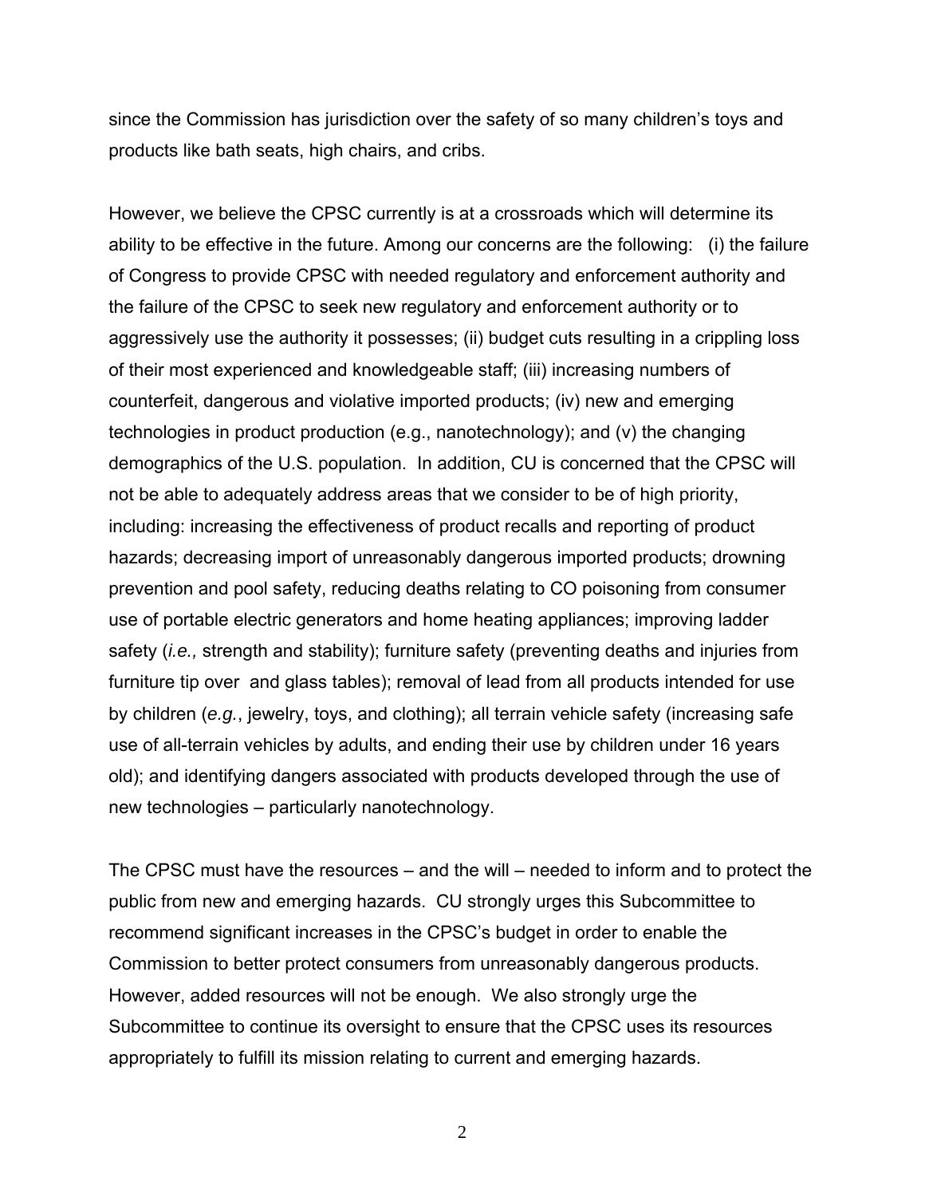since the Commission has jurisdiction over the safety of so many children's toys and products like bath seats, high chairs, and cribs.

However, we believe the CPSC currently is at a crossroads which will determine its ability to be effective in the future. Among our concerns are the following: (i) the failure of Congress to provide CPSC with needed regulatory and enforcement authority and the failure of the CPSC to seek new regulatory and enforcement authority or to aggressively use the authority it possesses; (ii) budget cuts resulting in a crippling loss of their most experienced and knowledgeable staff; (iii) increasing numbers of counterfeit, dangerous and violative imported products; (iv) new and emerging technologies in product production (e.g., nanotechnology); and (v) the changing demographics of the U.S. population. In addition, CU is concerned that the CPSC will not be able to adequately address areas that we consider to be of high priority, including: increasing the effectiveness of product recalls and reporting of product hazards; decreasing import of unreasonably dangerous imported products; drowning prevention and pool safety, reducing deaths relating to CO poisoning from consumer use of portable electric generators and home heating appliances; improving ladder safety (*i.e.,* strength and stability); furniture safety (preventing deaths and injuries from furniture tip over and glass tables); removal of lead from all products intended for use by children (*e.g.*, jewelry, toys, and clothing); all terrain vehicle safety (increasing safe use of all-terrain vehicles by adults, and ending their use by children under 16 years old); and identifying dangers associated with products developed through the use of new technologies – particularly nanotechnology.

The CPSC must have the resources – and the will – needed to inform and to protect the public from new and emerging hazards. CU strongly urges this Subcommittee to recommend significant increases in the CPSC's budget in order to enable the Commission to better protect consumers from unreasonably dangerous products. However, added resources will not be enough. We also strongly urge the Subcommittee to continue its oversight to ensure that the CPSC uses its resources appropriately to fulfill its mission relating to current and emerging hazards.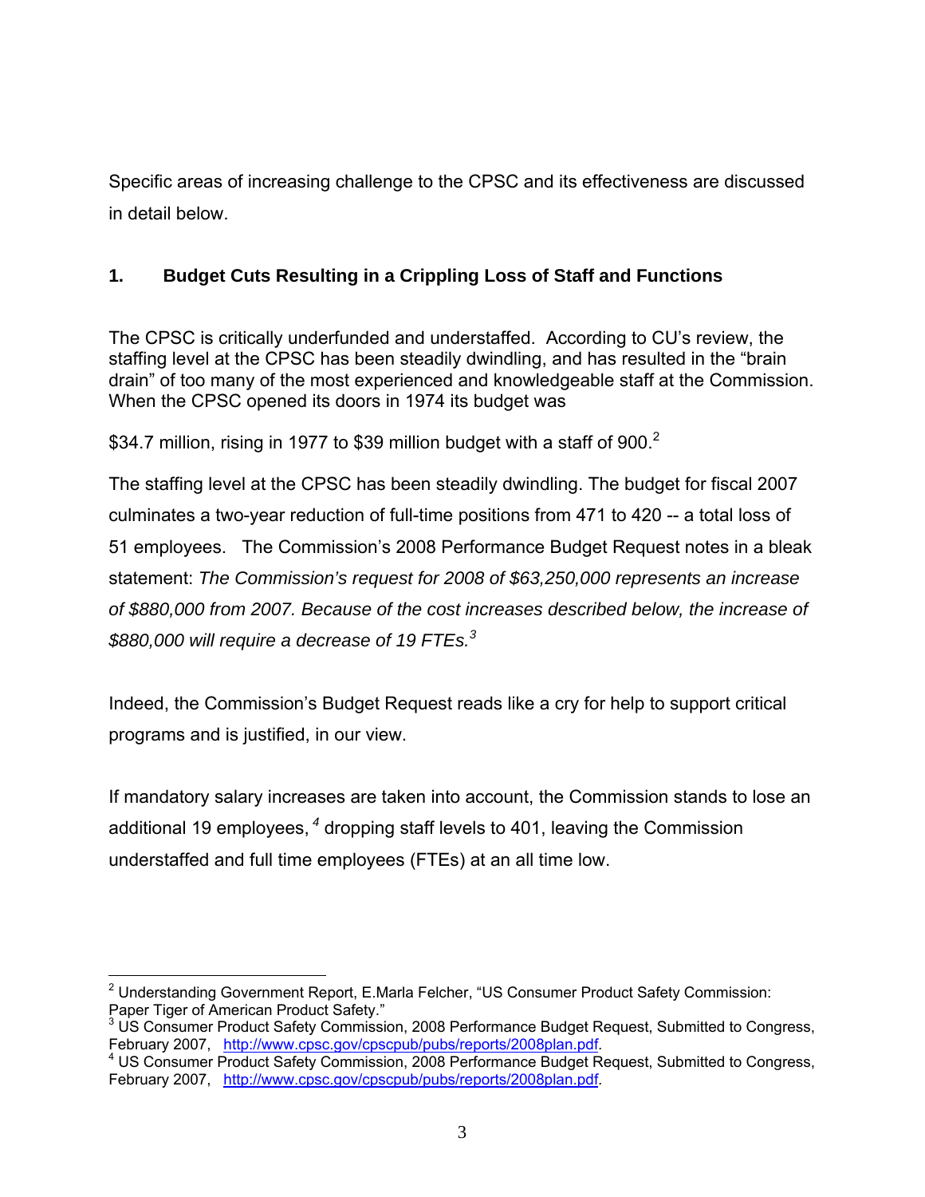Specific areas of increasing challenge to the CPSC and its effectiveness are discussed in detail below.

### **1. Budget Cuts Resulting in a Crippling Loss of Staff and Functions**

The CPSC is critically underfunded and understaffed. According to CU's review, the staffing level at the CPSC has been steadily dwindling, and has resulted in the "brain drain" of too many of the most experienced and knowledgeable staff at the Commission. When the CPSC opened its doors in 1974 its budget was

\$34.7 million, rising in 1977 to \$39 million budget with a staff of 900.<sup>2</sup>

The staffing level at the CPSC has been steadily dwindling. The budget for fiscal 2007 culminates a two-year reduction of full-time positions from 471 to 420 -- a total loss of 51 employees. The Commission's 2008 Performance Budget Request notes in a bleak statement: *The Commission's request for 2008 of \$63,250,000 represents an increase of \$880,000 from 2007. Because of the cost increases described below, the increase of \$880,000 will require a decrease of 19 FTEs.<sup>3</sup>* 

Indeed, the Commission's Budget Request reads like a cry for help to support critical programs and is justified, in our view.

If mandatory salary increases are taken into account, the Commission stands to lose an additional 19 employees,*<sup>4</sup>* dropping staff levels to 401, leaving the Commission understaffed and full time employees (FTEs) at an all time low.

<sup>1</sup> <sup>2</sup> Understanding Government Report, E.Marla Felcher, "US Consumer Product Safety Commission: Paper Tiger of American Product Safety."

<sup>&</sup>lt;sup>3</sup> US Consumer Product Safety Commission, 2008 Performance Budget Request, Submitted to Congress, February 2007, http://www.cpsc.gov/cpscpub/pubs/reports/2008plan.pdf.

US Consumer Product Safety Commission, 2008 Performance Budget Request, Submitted to Congress, February 2007, http://www.cpsc.gov/cpscpub/pubs/reports/2008plan.pdf.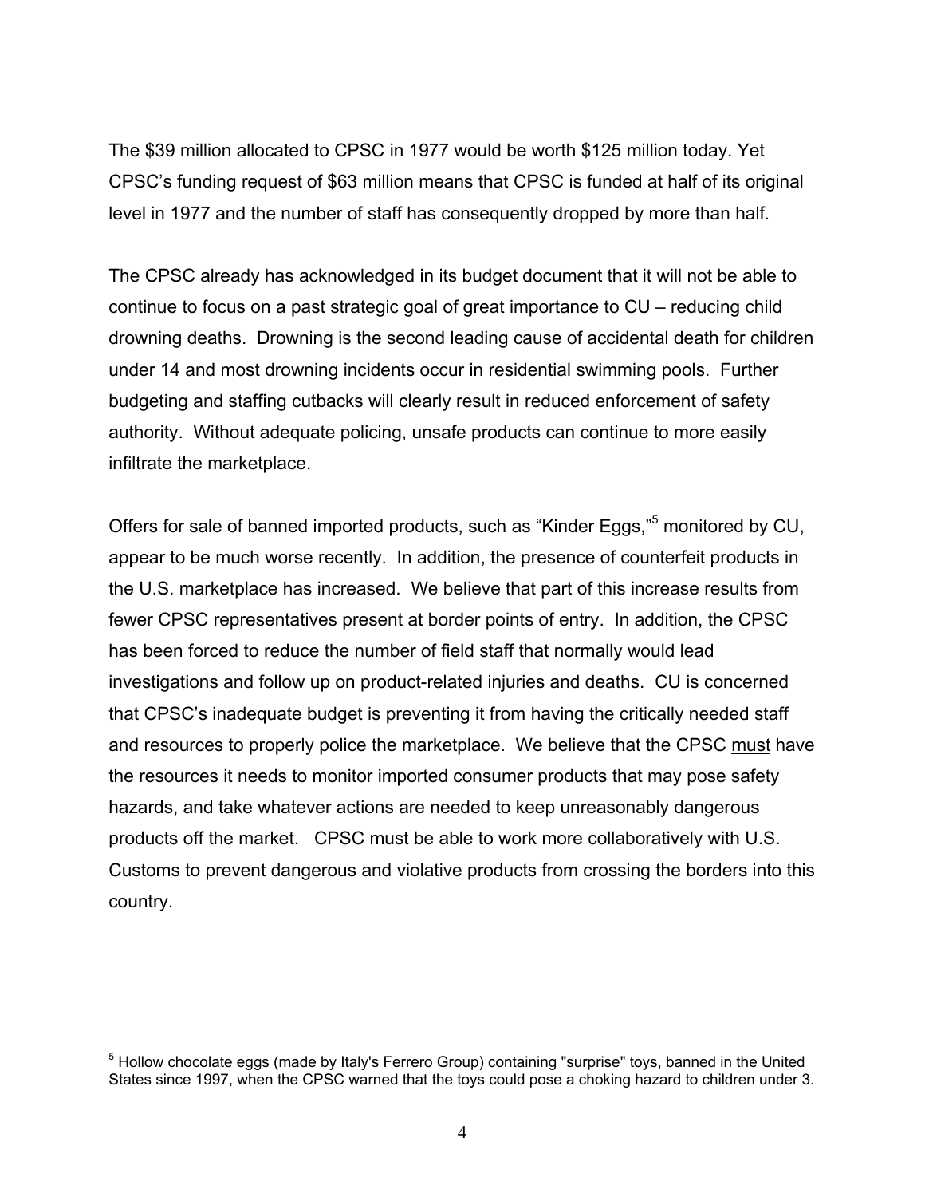The \$39 million allocated to CPSC in 1977 would be worth \$125 million today. Yet CPSC's funding request of \$63 million means that CPSC is funded at half of its original level in 1977 and the number of staff has consequently dropped by more than half.

The CPSC already has acknowledged in its budget document that it will not be able to continue to focus on a past strategic goal of great importance to CU – reducing child drowning deaths. Drowning is the second leading cause of accidental death for children under 14 and most drowning incidents occur in residential swimming pools. Further budgeting and staffing cutbacks will clearly result in reduced enforcement of safety authority. Without adequate policing, unsafe products can continue to more easily infiltrate the marketplace.

Offers for sale of banned imported products, such as "Kinder Eggs,"<sup>5</sup> monitored by CU, appear to be much worse recently. In addition, the presence of counterfeit products in the U.S. marketplace has increased. We believe that part of this increase results from fewer CPSC representatives present at border points of entry. In addition, the CPSC has been forced to reduce the number of field staff that normally would lead investigations and follow up on product-related injuries and deaths. CU is concerned that CPSC's inadequate budget is preventing it from having the critically needed staff and resources to properly police the marketplace. We believe that the CPSC must have the resources it needs to monitor imported consumer products that may pose safety hazards, and take whatever actions are needed to keep unreasonably dangerous products off the market. CPSC must be able to work more collaboratively with U.S. Customs to prevent dangerous and violative products from crossing the borders into this country.

<sup>1</sup> <sup>5</sup> Hollow chocolate eggs (made by Italy's Ferrero Group) containing "surprise" toys, banned in the United States since 1997, when the CPSC warned that the toys could pose a choking hazard to children under 3.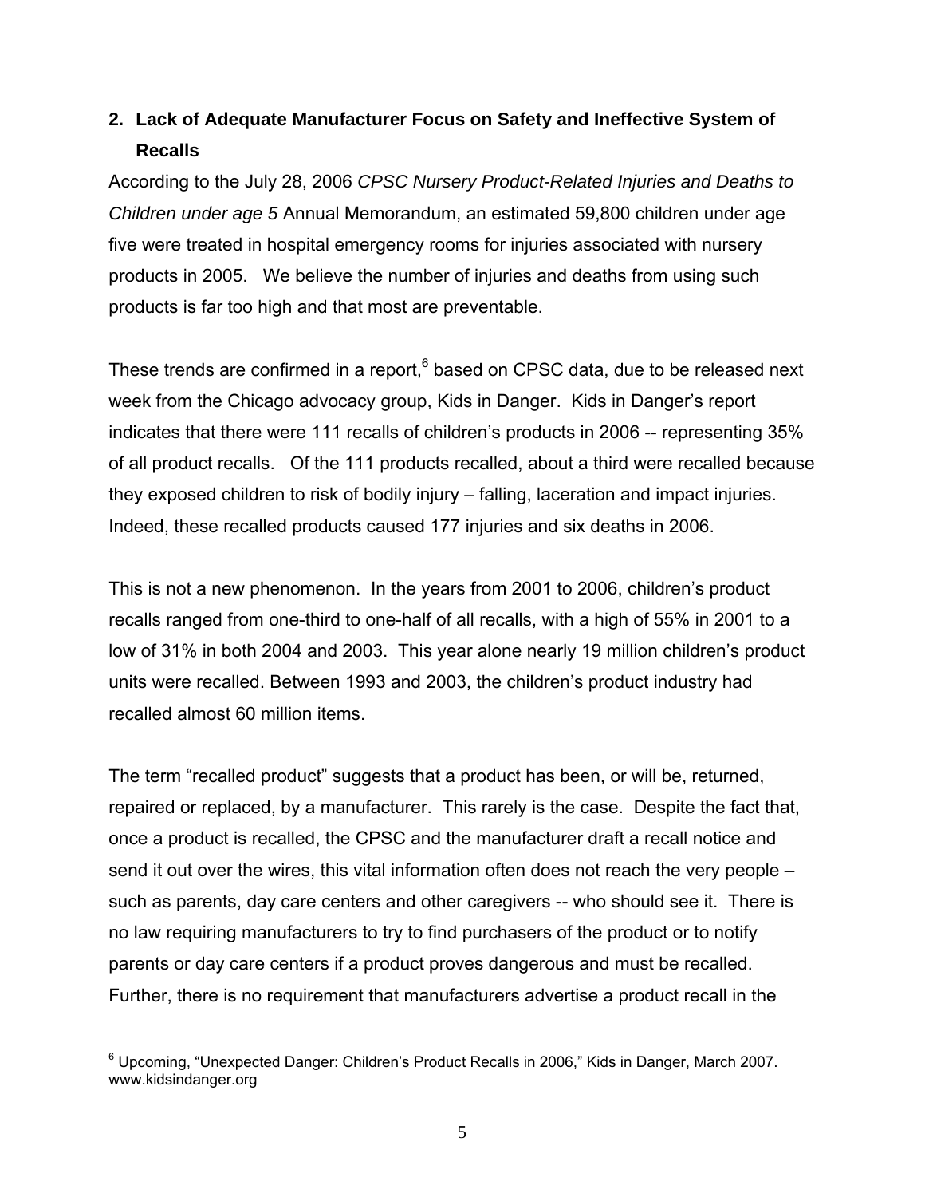# **2. Lack of Adequate Manufacturer Focus on Safety and Ineffective System of Recalls**

According to the July 28, 2006 *CPSC Nursery Product-Related Injuries and Deaths to Children under age 5* Annual Memorandum, an estimated 59,800 children under age five were treated in hospital emergency rooms for injuries associated with nursery products in 2005. We believe the number of injuries and deaths from using such products is far too high and that most are preventable.

These trends are confirmed in a report, $6$  based on CPSC data, due to be released next week from the Chicago advocacy group, Kids in Danger. Kids in Danger's report indicates that there were 111 recalls of children's products in 2006 -- representing 35% of all product recalls. Of the 111 products recalled, about a third were recalled because they exposed children to risk of bodily injury – falling, laceration and impact injuries. Indeed, these recalled products caused 177 injuries and six deaths in 2006.

This is not a new phenomenon. In the years from 2001 to 2006, children's product recalls ranged from one-third to one-half of all recalls, with a high of 55% in 2001 to a low of 31% in both 2004 and 2003. This year alone nearly 19 million children's product units were recalled. Between 1993 and 2003, the children's product industry had recalled almost 60 million items.

The term "recalled product" suggests that a product has been, or will be, returned, repaired or replaced, by a manufacturer. This rarely is the case. Despite the fact that, once a product is recalled, the CPSC and the manufacturer draft a recall notice and send it out over the wires, this vital information often does not reach the very people – such as parents, day care centers and other caregivers -- who should see it. There is no law requiring manufacturers to try to find purchasers of the product or to notify parents or day care centers if a product proves dangerous and must be recalled. Further, there is no requirement that manufacturers advertise a product recall in the

<sup>————————————————————&</sup>lt;br><sup>6</sup> Upcoming, "Unexpected Danger: Children's Product Recalls in 2006," Kids in Danger, March 2007. I www.kidsindanger.org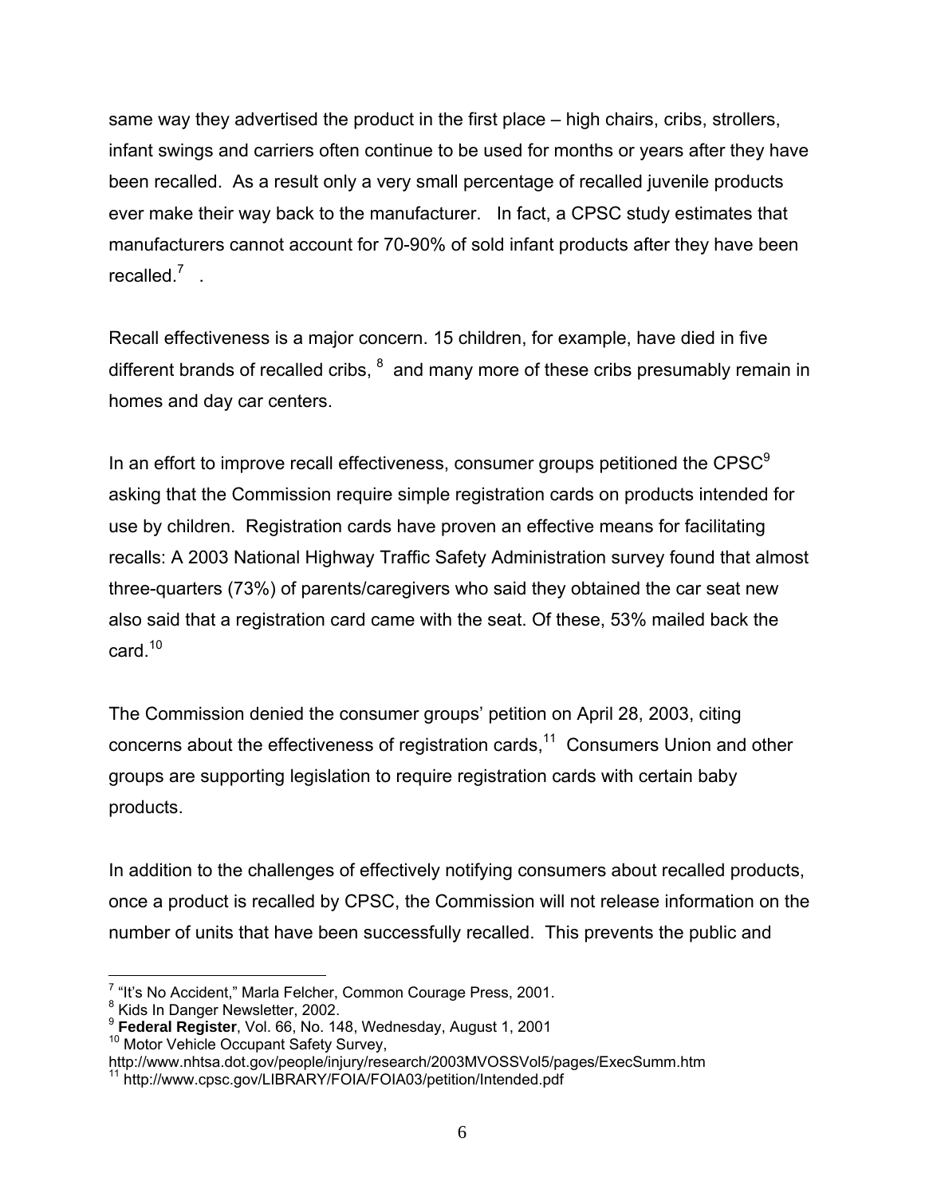same way they advertised the product in the first place – high chairs, cribs, strollers, infant swings and carriers often continue to be used for months or years after they have been recalled. As a result only a very small percentage of recalled juvenile products ever make their way back to the manufacturer. In fact, a CPSC study estimates that manufacturers cannot account for 70-90% of sold infant products after they have been recalled. $\frac{7}{1}$ .

Recall effectiveness is a major concern. 15 children, for example, have died in five different brands of recalled cribs,  $<sup>8</sup>$  and many more of these cribs presumably remain in</sup> homes and day car centers.

In an effort to improve recall effectiveness, consumer groups petitioned the  $CPSC<sup>9</sup>$ asking that the Commission require simple registration cards on products intended for use by children. Registration cards have proven an effective means for facilitating recalls: A 2003 National Highway Traffic Safety Administration survey found that almost three-quarters (73%) of parents/caregivers who said they obtained the car seat new also said that a registration card came with the seat. Of these, 53% mailed back the card. $10$ 

The Commission denied the consumer groups' petition on April 28, 2003, citing concerns about the effectiveness of registration cards,<sup>11</sup> Consumers Union and other groups are supporting legislation to require registration cards with certain baby products.

In addition to the challenges of effectively notifying consumers about recalled products, once a product is recalled by CPSC, the Commission will not release information on the number of units that have been successfully recalled. This prevents the public and

 $\overline{a}$ <sup>7</sup> "It's No Accident," Marla Felcher, Common Courage Press, 2001.

<sup>&</sup>lt;sup>8</sup> Kids In Danger Newsletter, 2002.

<sup>&</sup>lt;sup>9</sup> Federal Register, Vol. 66, No. 148, Wednesday, August 1, 2001<br><sup>10</sup> Motor Vehicle Occupant Safety Survey,

http://www.nhtsa.dot.gov/people/injury/research/2003MVOSSVol5/pages/ExecSumm.htm<br><sup>11</sup> http://www.cpsc.gov/LIBRARY/FOIA/FOIA03/petition/Intended.pdf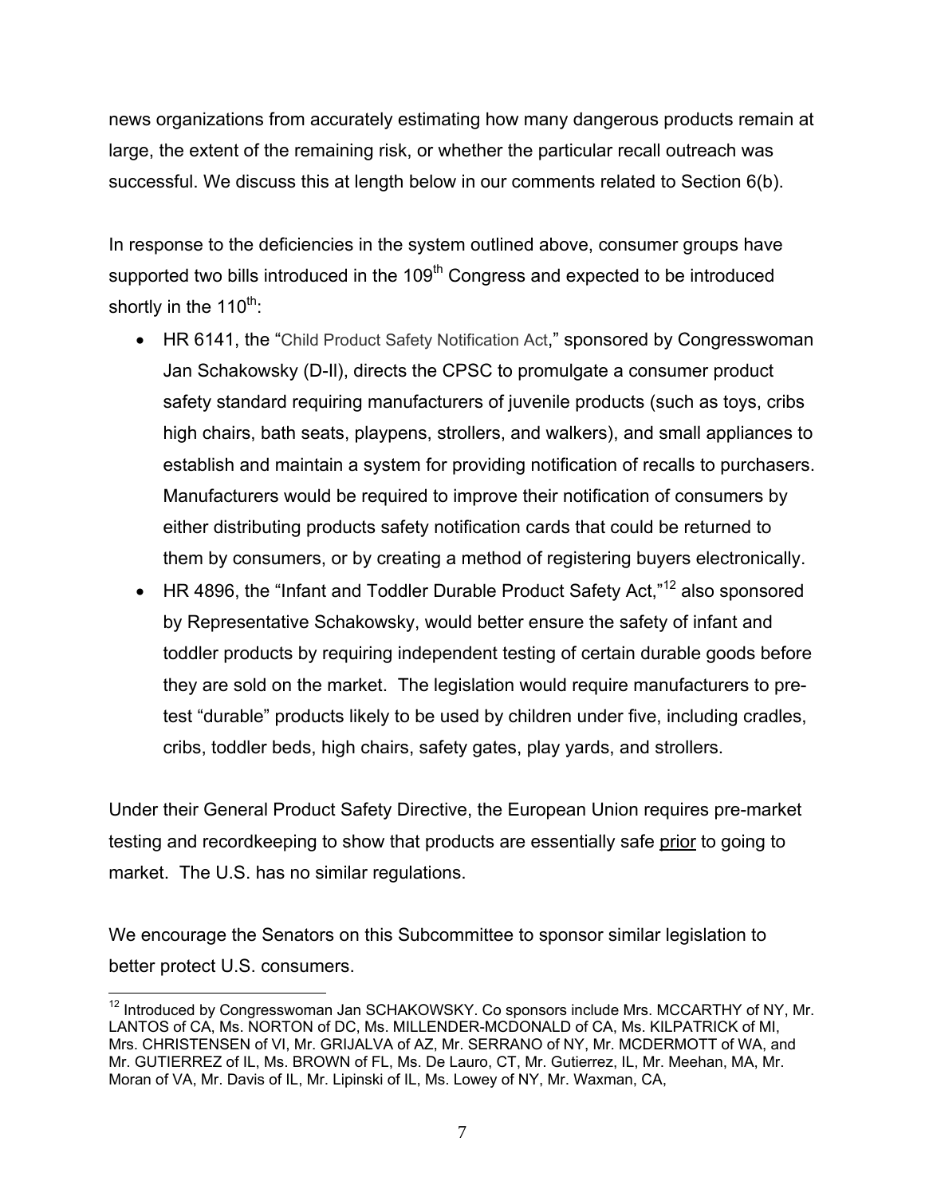news organizations from accurately estimating how many dangerous products remain at large, the extent of the remaining risk, or whether the particular recall outreach was successful. We discuss this at length below in our comments related to Section 6(b).

In response to the deficiencies in the system outlined above, consumer groups have supported two bills introduced in the 109<sup>th</sup> Congress and expected to be introduced shortly in the  $110^{th}$ .

- HR 6141, the "Child Product Safety Notification Act," sponsored by Congresswoman Jan Schakowsky (D-Il), directs the CPSC to promulgate a consumer product safety standard requiring manufacturers of juvenile products (such as toys, cribs high chairs, bath seats, playpens, strollers, and walkers), and small appliances to establish and maintain a system for providing notification of recalls to purchasers. Manufacturers would be required to improve their notification of consumers by either distributing products safety notification cards that could be returned to them by consumers, or by creating a method of registering buyers electronically.
- HR 4896, the "Infant and Toddler Durable Product Safety Act,"12 also sponsored by Representative Schakowsky, would better ensure the safety of infant and toddler products by requiring independent testing of certain durable goods before they are sold on the market. The legislation would require manufacturers to pretest "durable" products likely to be used by children under five, including cradles, cribs, toddler beds, high chairs, safety gates, play yards, and strollers.

Under their General Product Safety Directive, the European Union requires pre-market testing and recordkeeping to show that products are essentially safe prior to going to market. The U.S. has no similar regulations.

We encourage the Senators on this Subcommittee to sponsor similar legislation to better protect U.S. consumers.

<sup>1</sup>  $12$  Introduced by Congresswoman Jan SCHAKOWSKY. Co sponsors include Mrs. MCCARTHY of NY, Mr. LANTOS of CA, Ms. NORTON of DC, Ms. MILLENDER-MCDONALD of CA, Ms. KILPATRICK of MI, Mrs. CHRISTENSEN of VI, Mr. GRIJALVA of AZ, Mr. SERRANO of NY, Mr. MCDERMOTT of WA, and Mr. GUTIERREZ of IL, Ms. BROWN of FL, Ms. De Lauro, CT, Mr. Gutierrez, IL, Mr. Meehan, MA, Mr. Moran of VA, Mr. Davis of IL, Mr. Lipinski of IL, Ms. Lowey of NY, Mr. Waxman, CA,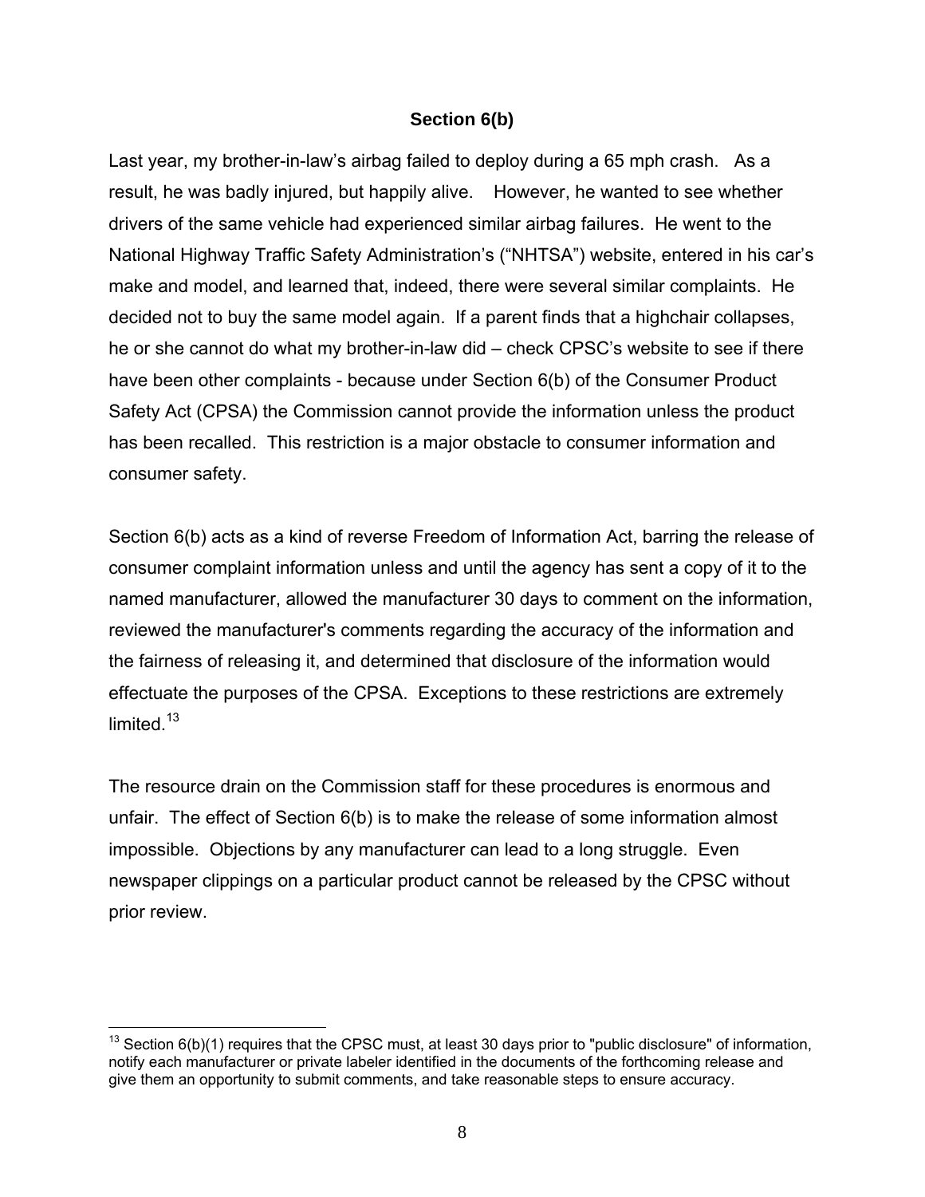#### **Section 6(b)**

Last year, my brother-in-law's airbag failed to deploy during a 65 mph crash. As a result, he was badly injured, but happily alive. However, he wanted to see whether drivers of the same vehicle had experienced similar airbag failures. He went to the National Highway Traffic Safety Administration's ("NHTSA") website, entered in his car's make and model, and learned that, indeed, there were several similar complaints. He decided not to buy the same model again. If a parent finds that a highchair collapses, he or she cannot do what my brother-in-law did – check CPSC's website to see if there have been other complaints - because under Section 6(b) of the Consumer Product Safety Act (CPSA) the Commission cannot provide the information unless the product has been recalled. This restriction is a major obstacle to consumer information and consumer safety.

Section 6(b) acts as a kind of reverse Freedom of Information Act, barring the release of consumer complaint information unless and until the agency has sent a copy of it to the named manufacturer, allowed the manufacturer 30 days to comment on the information, reviewed the manufacturer's comments regarding the accuracy of the information and the fairness of releasing it, and determined that disclosure of the information would effectuate the purposes of the CPSA. Exceptions to these restrictions are extremely limited  $13$ 

The resource drain on the Commission staff for these procedures is enormous and unfair. The effect of Section 6(b) is to make the release of some information almost impossible. Objections by any manufacturer can lead to a long struggle. Even newspaper clippings on a particular product cannot be released by the CPSC without prior review.

 $13$  Section 6(b)(1) requires that the CPSC must, at least 30 days prior to "public disclosure" of information, notify each manufacturer or private labeler identified in the documents of the forthcoming release and give them an opportunity to submit comments, and take reasonable steps to ensure accuracy.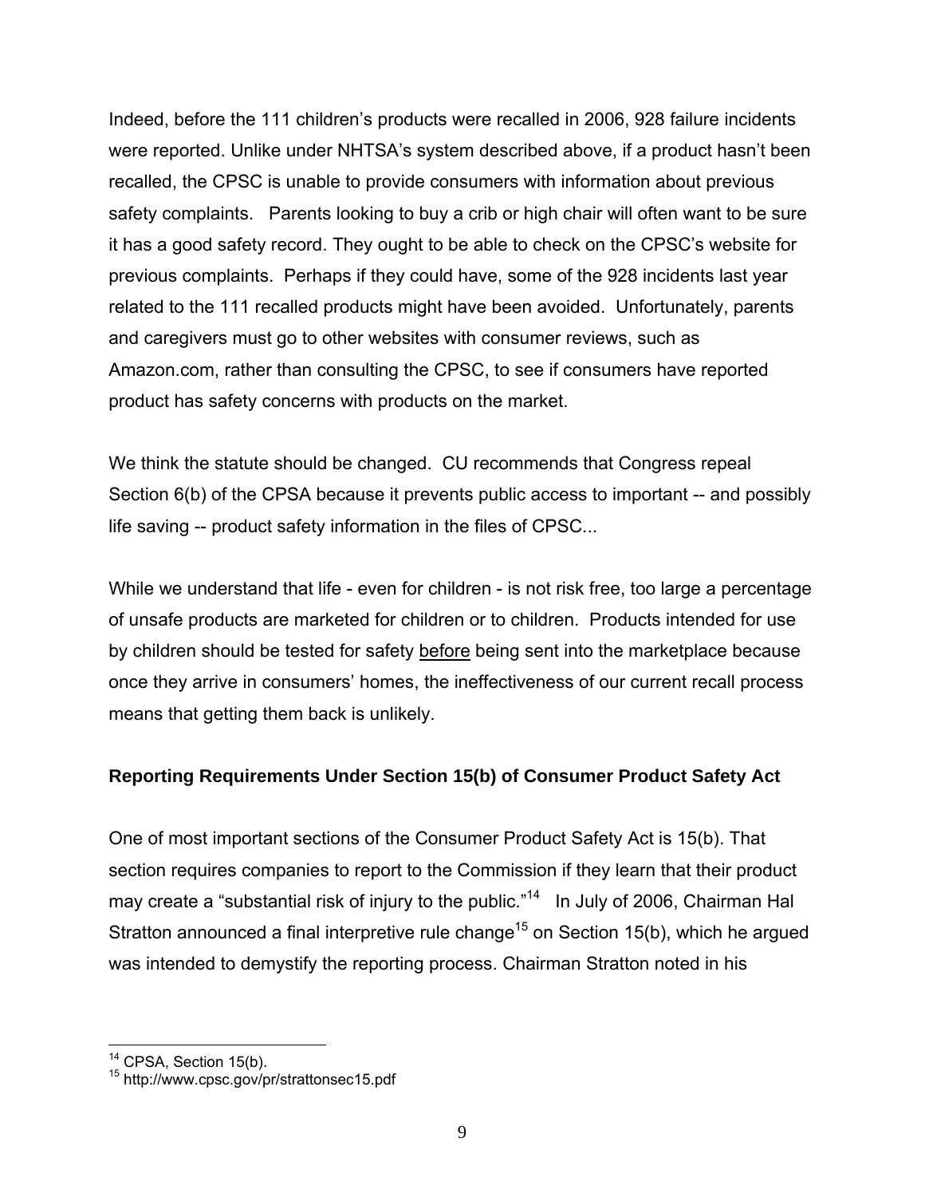Indeed, before the 111 children's products were recalled in 2006, 928 failure incidents were reported. Unlike under NHTSA's system described above, if a product hasn't been recalled, the CPSC is unable to provide consumers with information about previous safety complaints. Parents looking to buy a crib or high chair will often want to be sure it has a good safety record. They ought to be able to check on the CPSC's website for previous complaints. Perhaps if they could have, some of the 928 incidents last year related to the 111 recalled products might have been avoided. Unfortunately, parents and caregivers must go to other websites with consumer reviews, such as Amazon.com, rather than consulting the CPSC, to see if consumers have reported product has safety concerns with products on the market.

We think the statute should be changed. CU recommends that Congress repeal Section 6(b) of the CPSA because it prevents public access to important -- and possibly life saving -- product safety information in the files of CPSC...

While we understand that life - even for children - is not risk free, too large a percentage of unsafe products are marketed for children or to children. Products intended for use by children should be tested for safety before being sent into the marketplace because once they arrive in consumers' homes, the ineffectiveness of our current recall process means that getting them back is unlikely.

#### **Reporting Requirements Under Section 15(b) of Consumer Product Safety Act**

One of most important sections of the Consumer Product Safety Act is 15(b). That section requires companies to report to the Commission if they learn that their product may create a "substantial risk of injury to the public."<sup>14</sup> In July of 2006, Chairman Hal Stratton announced a final interpretive rule change<sup>15</sup> on Section 15(b), which he argued was intended to demystify the reporting process. Chairman Stratton noted in his

<sup>1</sup> 

<sup>&</sup>lt;sup>14</sup> CPSA, Section 15(b).<br><sup>15</sup> http://www.cpsc.gov/pr/strattonsec15.pdf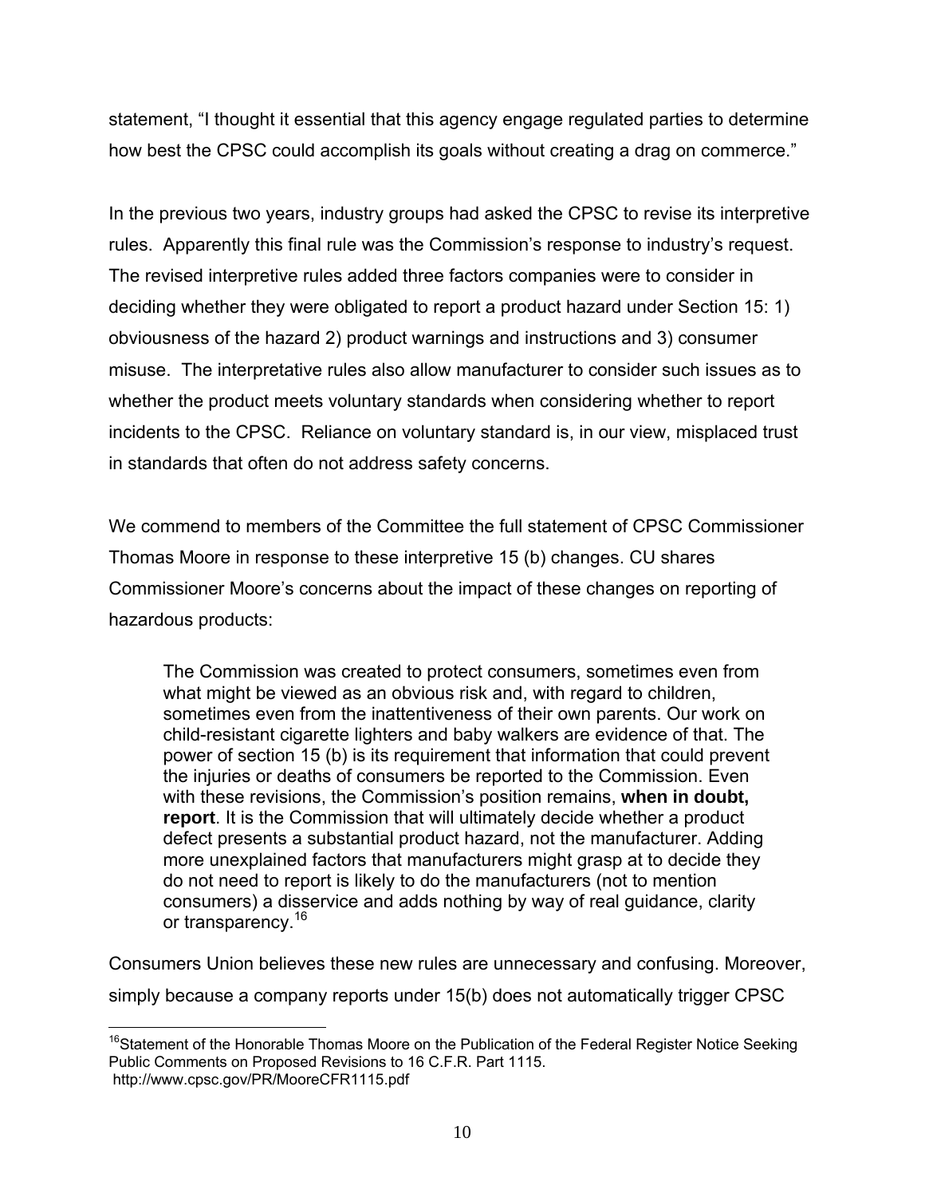statement, "I thought it essential that this agency engage regulated parties to determine how best the CPSC could accomplish its goals without creating a drag on commerce."

In the previous two years, industry groups had asked the CPSC to revise its interpretive rules. Apparently this final rule was the Commission's response to industry's request. The revised interpretive rules added three factors companies were to consider in deciding whether they were obligated to report a product hazard under Section 15: 1) obviousness of the hazard 2) product warnings and instructions and 3) consumer misuse. The interpretative rules also allow manufacturer to consider such issues as to whether the product meets voluntary standards when considering whether to report incidents to the CPSC. Reliance on voluntary standard is, in our view, misplaced trust in standards that often do not address safety concerns.

We commend to members of the Committee the full statement of CPSC Commissioner Thomas Moore in response to these interpretive 15 (b) changes. CU shares Commissioner Moore's concerns about the impact of these changes on reporting of hazardous products:

The Commission was created to protect consumers, sometimes even from what might be viewed as an obvious risk and, with regard to children, sometimes even from the inattentiveness of their own parents. Our work on child-resistant cigarette lighters and baby walkers are evidence of that. The power of section 15 (b) is its requirement that information that could prevent the injuries or deaths of consumers be reported to the Commission. Even with these revisions, the Commission's position remains, **when in doubt, report**. It is the Commission that will ultimately decide whether a product defect presents a substantial product hazard, not the manufacturer. Adding more unexplained factors that manufacturers might grasp at to decide they do not need to report is likely to do the manufacturers (not to mention consumers) a disservice and adds nothing by way of real guidance, clarity or transparency.<sup>16</sup>

Consumers Union believes these new rules are unnecessary and confusing. Moreover, simply because a company reports under 15(b) does not automatically trigger CPSC

 $\overline{a}$ <sup>16</sup>Statement of the Honorable Thomas Moore on the Publication of the Federal Register Notice Seeking Public Comments on Proposed Revisions to 16 C.F.R. Part 1115. http://www.cpsc.gov/PR/MooreCFR1115.pdf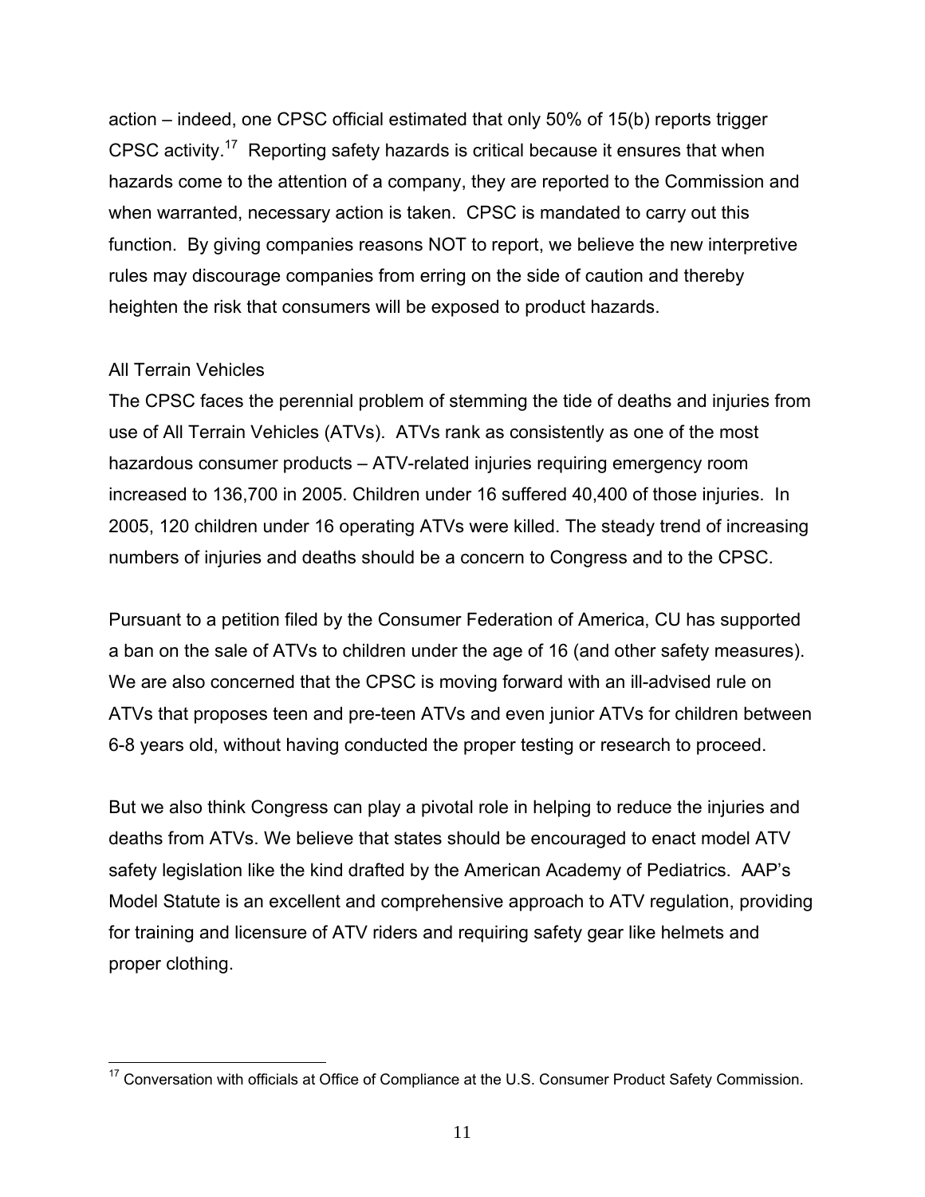action – indeed, one CPSC official estimated that only 50% of 15(b) reports trigger CPSC activity.17 Reporting safety hazards is critical because it ensures that when hazards come to the attention of a company, they are reported to the Commission and when warranted, necessary action is taken. CPSC is mandated to carry out this function. By giving companies reasons NOT to report, we believe the new interpretive rules may discourage companies from erring on the side of caution and thereby heighten the risk that consumers will be exposed to product hazards.

#### All Terrain Vehicles

The CPSC faces the perennial problem of stemming the tide of deaths and injuries from use of All Terrain Vehicles (ATVs). ATVs rank as consistently as one of the most hazardous consumer products – ATV-related injuries requiring emergency room increased to 136,700 in 2005. Children under 16 suffered 40,400 of those injuries. In 2005, 120 children under 16 operating ATVs were killed. The steady trend of increasing numbers of injuries and deaths should be a concern to Congress and to the CPSC.

Pursuant to a petition filed by the Consumer Federation of America, CU has supported a ban on the sale of ATVs to children under the age of 16 (and other safety measures). We are also concerned that the CPSC is moving forward with an ill-advised rule on ATVs that proposes teen and pre-teen ATVs and even junior ATVs for children between 6-8 years old, without having conducted the proper testing or research to proceed.

But we also think Congress can play a pivotal role in helping to reduce the injuries and deaths from ATVs. We believe that states should be encouraged to enact model ATV safety legislation like the kind drafted by the American Academy of Pediatrics. AAP's Model Statute is an excellent and comprehensive approach to ATV regulation, providing for training and licensure of ATV riders and requiring safety gear like helmets and proper clothing.

 $\overline{a}$  $17$  Conversation with officials at Office of Compliance at the U.S. Consumer Product Safety Commission.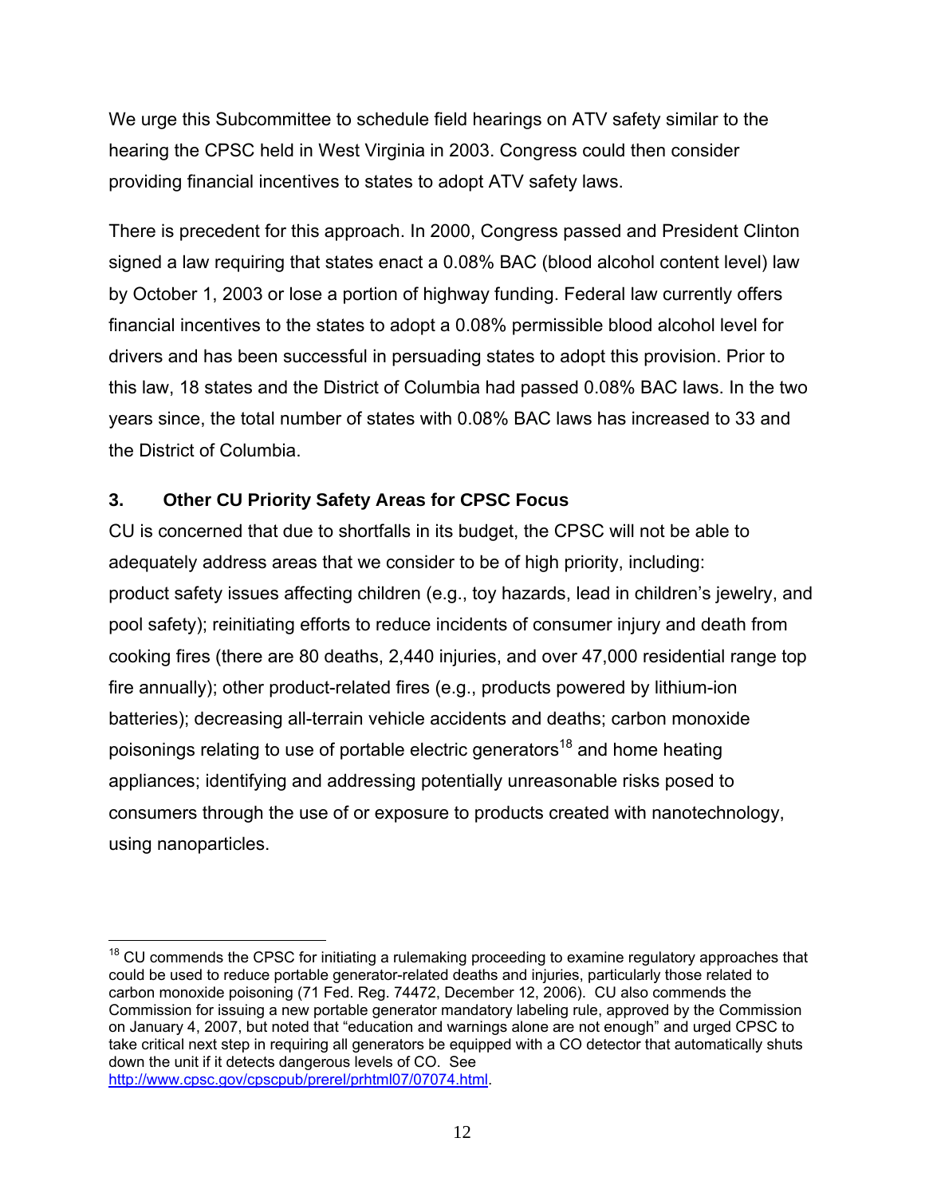We urge this Subcommittee to schedule field hearings on ATV safety similar to the hearing the CPSC held in West Virginia in 2003. Congress could then consider providing financial incentives to states to adopt ATV safety laws.

There is precedent for this approach. In 2000, Congress passed and President Clinton signed a law requiring that states enact a 0.08% BAC (blood alcohol content level) law by October 1, 2003 or lose a portion of highway funding. Federal law currently offers financial incentives to the states to adopt a 0.08% permissible blood alcohol level for drivers and has been successful in persuading states to adopt this provision. Prior to this law, 18 states and the District of Columbia had passed 0.08% BAC laws. In the two years since, the total number of states with 0.08% BAC laws has increased to 33 and the District of Columbia.

### **3. Other CU Priority Safety Areas for CPSC Focus**

CU is concerned that due to shortfalls in its budget, the CPSC will not be able to adequately address areas that we consider to be of high priority, including: product safety issues affecting children (e.g., toy hazards, lead in children's jewelry, and pool safety); reinitiating efforts to reduce incidents of consumer injury and death from cooking fires (there are 80 deaths, 2,440 injuries, and over 47,000 residential range top fire annually); other product-related fires (e.g., products powered by lithium-ion batteries); decreasing all-terrain vehicle accidents and deaths; carbon monoxide poisonings relating to use of portable electric generators<sup>18</sup> and home heating appliances; identifying and addressing potentially unreasonable risks posed to consumers through the use of or exposure to products created with nanotechnology, using nanoparticles.

<sup>1</sup>  $18$  CU commends the CPSC for initiating a rulemaking proceeding to examine regulatory approaches that could be used to reduce portable generator-related deaths and injuries, particularly those related to carbon monoxide poisoning (71 Fed. Reg. 74472, December 12, 2006). CU also commends the Commission for issuing a new portable generator mandatory labeling rule, approved by the Commission on January 4, 2007, but noted that "education and warnings alone are not enough" and urged CPSC to take critical next step in requiring all generators be equipped with a CO detector that automatically shuts down the unit if it detects dangerous levels of CO. See http://www.cpsc.gov/cpscpub/prerel/prhtml07/07074.html.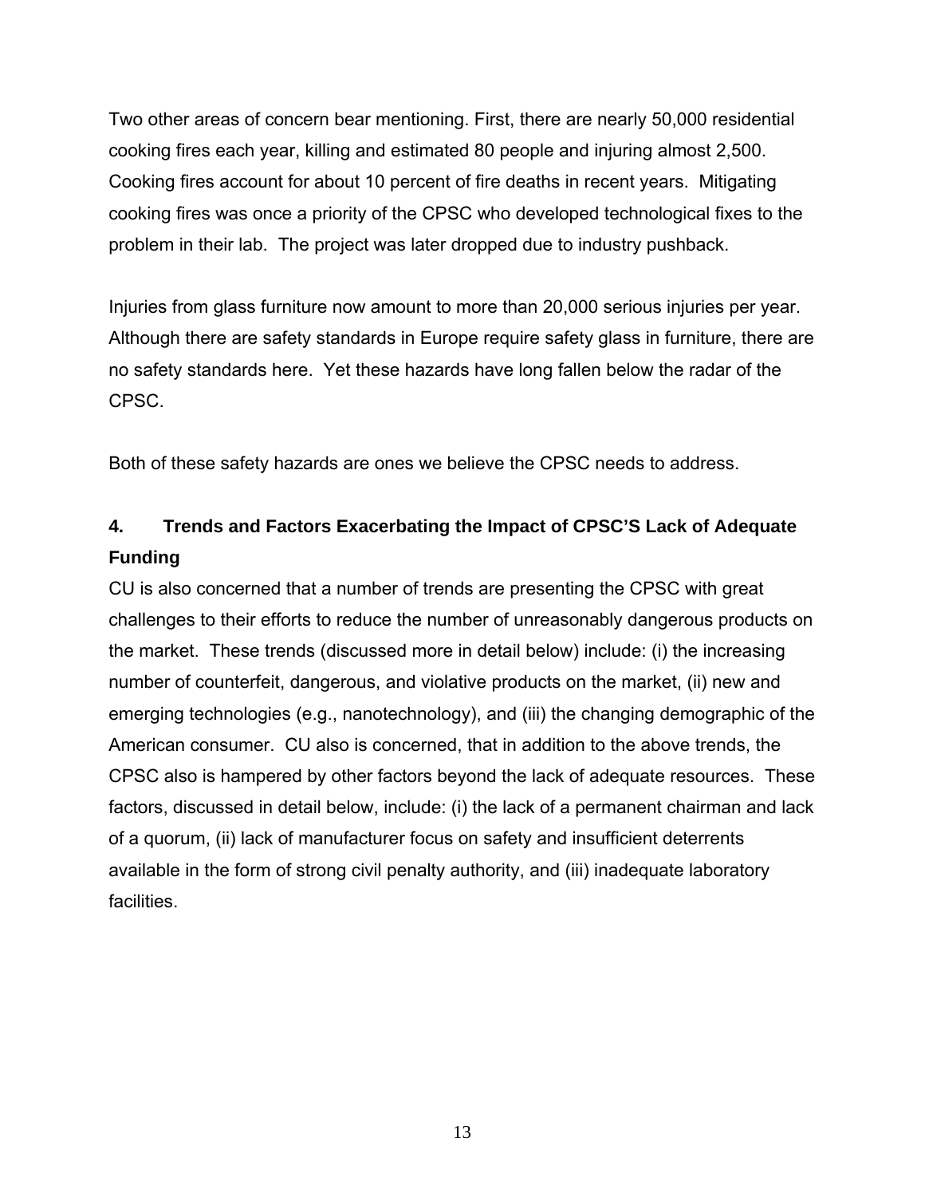Two other areas of concern bear mentioning. First, there are nearly 50,000 residential cooking fires each year, killing and estimated 80 people and injuring almost 2,500. Cooking fires account for about 10 percent of fire deaths in recent years. Mitigating cooking fires was once a priority of the CPSC who developed technological fixes to the problem in their lab. The project was later dropped due to industry pushback.

Injuries from glass furniture now amount to more than 20,000 serious injuries per year. Although there are safety standards in Europe require safety glass in furniture, there are no safety standards here. Yet these hazards have long fallen below the radar of the CPSC.

Both of these safety hazards are ones we believe the CPSC needs to address.

# **4. Trends and Factors Exacerbating the Impact of CPSC'S Lack of Adequate Funding**

CU is also concerned that a number of trends are presenting the CPSC with great challenges to their efforts to reduce the number of unreasonably dangerous products on the market. These trends (discussed more in detail below) include: (i) the increasing number of counterfeit, dangerous, and violative products on the market, (ii) new and emerging technologies (e.g., nanotechnology), and (iii) the changing demographic of the American consumer. CU also is concerned, that in addition to the above trends, the CPSC also is hampered by other factors beyond the lack of adequate resources. These factors, discussed in detail below, include: (i) the lack of a permanent chairman and lack of a quorum, (ii) lack of manufacturer focus on safety and insufficient deterrents available in the form of strong civil penalty authority, and (iii) inadequate laboratory facilities.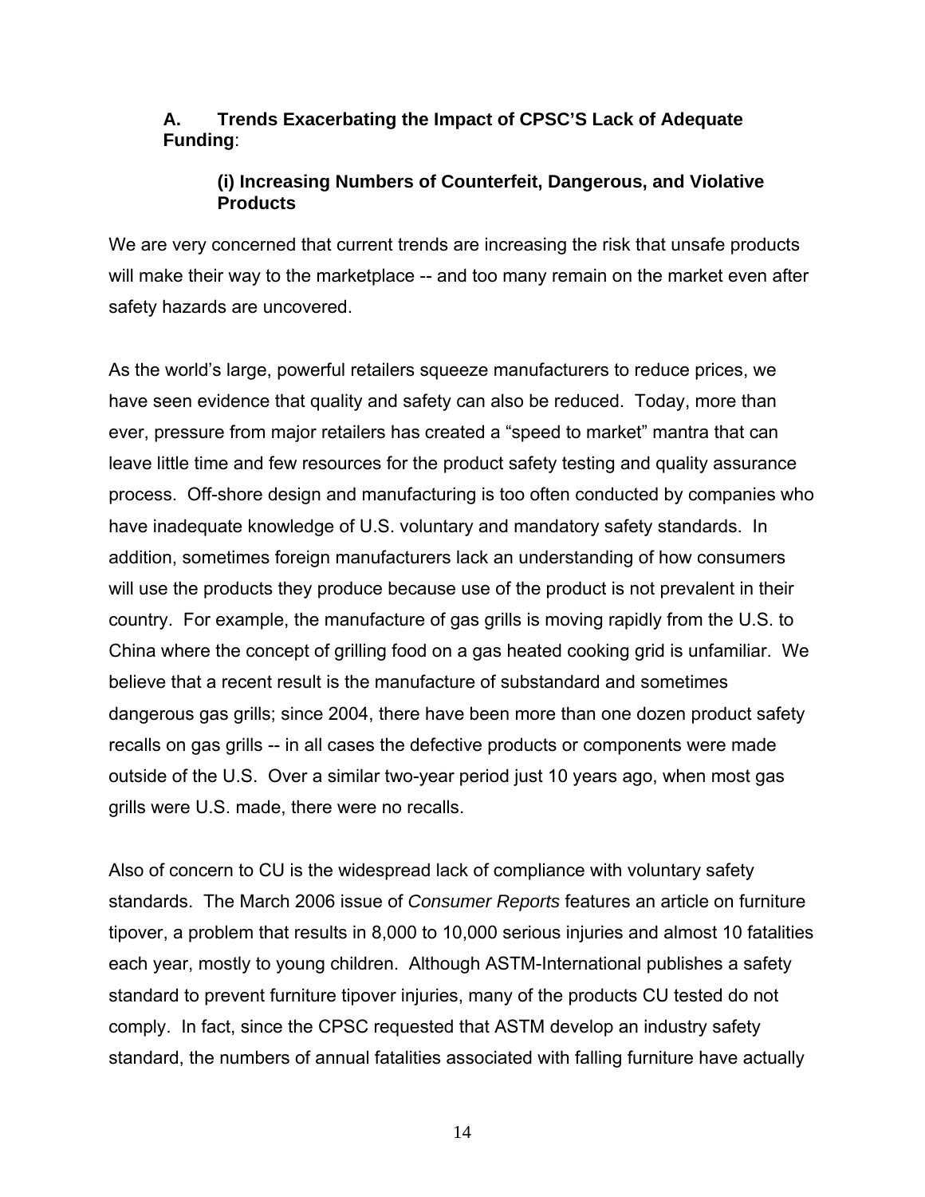### **A. Trends Exacerbating the Impact of CPSC'S Lack of Adequate Funding**:

### **(i) Increasing Numbers of Counterfeit, Dangerous, and Violative Products**

We are very concerned that current trends are increasing the risk that unsafe products will make their way to the marketplace -- and too many remain on the market even after safety hazards are uncovered.

As the world's large, powerful retailers squeeze manufacturers to reduce prices, we have seen evidence that quality and safety can also be reduced. Today, more than ever, pressure from major retailers has created a "speed to market" mantra that can leave little time and few resources for the product safety testing and quality assurance process. Off-shore design and manufacturing is too often conducted by companies who have inadequate knowledge of U.S. voluntary and mandatory safety standards. In addition, sometimes foreign manufacturers lack an understanding of how consumers will use the products they produce because use of the product is not prevalent in their country. For example, the manufacture of gas grills is moving rapidly from the U.S. to China where the concept of grilling food on a gas heated cooking grid is unfamiliar. We believe that a recent result is the manufacture of substandard and sometimes dangerous gas grills; since 2004, there have been more than one dozen product safety recalls on gas grills -- in all cases the defective products or components were made outside of the U.S. Over a similar two-year period just 10 years ago, when most gas grills were U.S. made, there were no recalls.

Also of concern to CU is the widespread lack of compliance with voluntary safety standards. The March 2006 issue of *Consumer Reports* features an article on furniture tipover, a problem that results in 8,000 to 10,000 serious injuries and almost 10 fatalities each year, mostly to young children. Although ASTM-International publishes a safety standard to prevent furniture tipover injuries, many of the products CU tested do not comply. In fact, since the CPSC requested that ASTM develop an industry safety standard, the numbers of annual fatalities associated with falling furniture have actually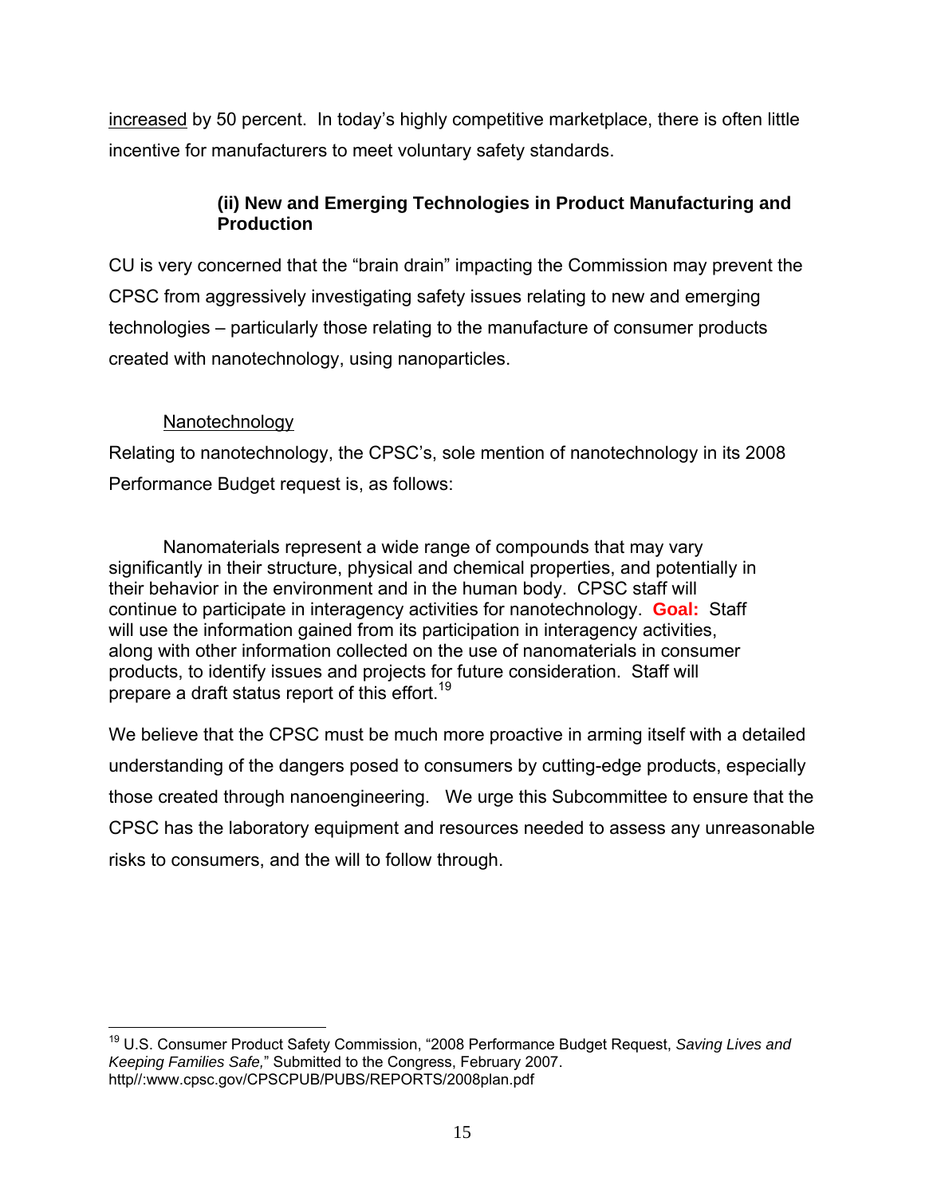increased by 50 percent. In today's highly competitive marketplace, there is often little incentive for manufacturers to meet voluntary safety standards.

### **(ii) New and Emerging Technologies in Product Manufacturing and Production**

CU is very concerned that the "brain drain" impacting the Commission may prevent the CPSC from aggressively investigating safety issues relating to new and emerging technologies – particularly those relating to the manufacture of consumer products created with nanotechnology, using nanoparticles.

### Nanotechnology

Relating to nanotechnology, the CPSC's, sole mention of nanotechnology in its 2008 Performance Budget request is, as follows:

Nanomaterials represent a wide range of compounds that may vary significantly in their structure, physical and chemical properties, and potentially in their behavior in the environment and in the human body. CPSC staff will continue to participate in interagency activities for nanotechnology. **Goal:** Staff will use the information gained from its participation in interagency activities, along with other information collected on the use of nanomaterials in consumer products, to identify issues and projects for future consideration. Staff will prepare a draft status report of this effort.<sup>19</sup>

We believe that the CPSC must be much more proactive in arming itself with a detailed understanding of the dangers posed to consumers by cutting-edge products, especially those created through nanoengineering. We urge this Subcommittee to ensure that the CPSC has the laboratory equipment and resources needed to assess any unreasonable risks to consumers, and the will to follow through.

<sup>1</sup> 19 U.S. Consumer Product Safety Commission, "2008 Performance Budget Request, *Saving Lives and Keeping Families Safe,*" Submitted to the Congress, February 2007. http//:www.cpsc.gov/CPSCPUB/PUBS/REPORTS/2008plan.pdf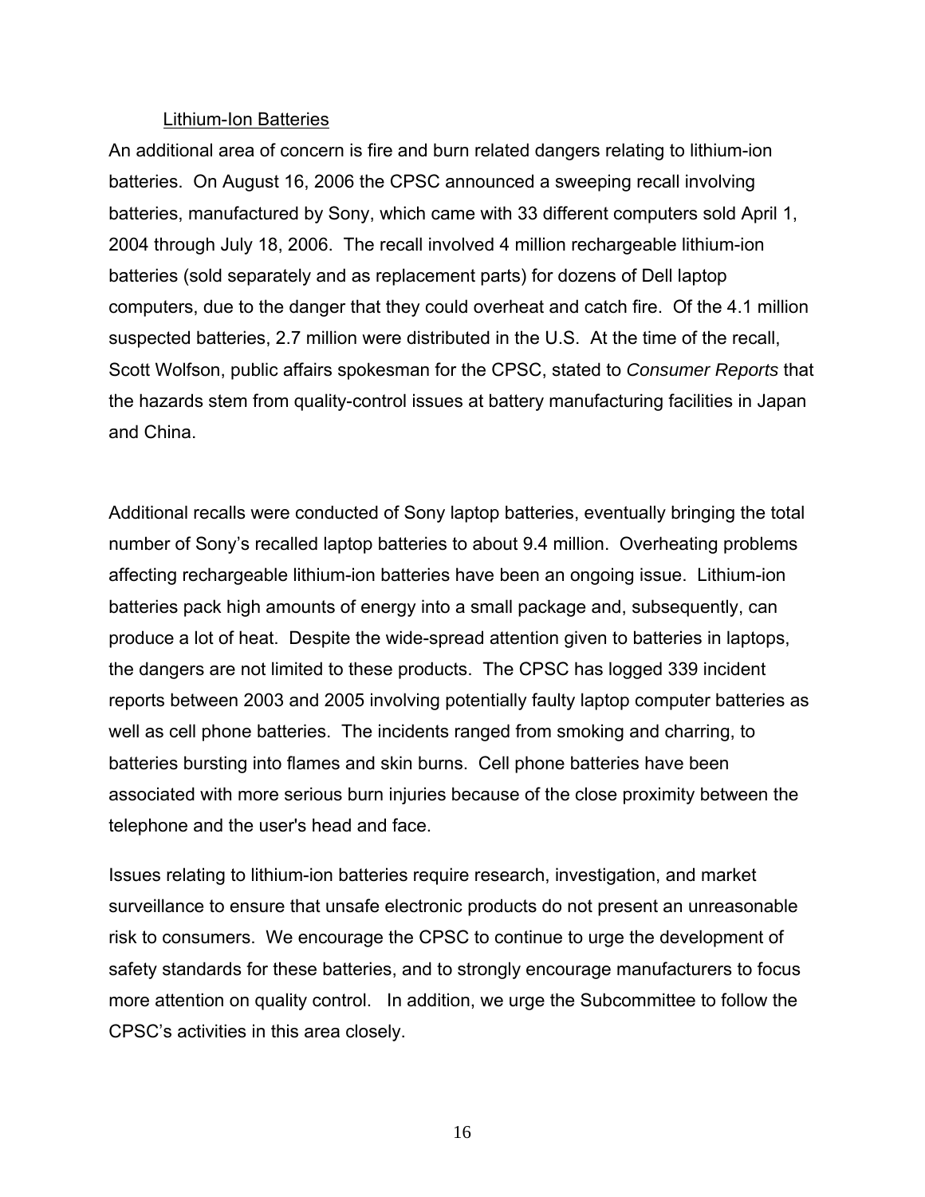#### Lithium-Ion Batteries

An additional area of concern is fire and burn related dangers relating to lithium-ion batteries. On August 16, 2006 the CPSC announced a sweeping recall involving batteries, manufactured by Sony, which came with 33 different computers sold April 1, 2004 through July 18, 2006. The recall involved 4 million rechargeable lithium-ion batteries (sold separately and as replacement parts) for dozens of Dell laptop computers, due to the danger that they could overheat and catch fire. Of the 4.1 million suspected batteries, 2.7 million were distributed in the U.S. At the time of the recall, Scott Wolfson, public affairs spokesman for the CPSC, stated to *Consumer Reports* that the hazards stem from quality-control issues at battery manufacturing facilities in Japan and China.

Additional recalls were conducted of Sony laptop batteries, eventually bringing the total number of Sony's recalled laptop batteries to about 9.4 million. Overheating problems affecting rechargeable lithium-ion batteries have been an ongoing issue. Lithium-ion batteries pack high amounts of energy into a small package and, subsequently, can produce a lot of heat. Despite the wide-spread attention given to batteries in laptops, the dangers are not limited to these products. The CPSC has logged 339 incident reports between 2003 and 2005 involving potentially faulty laptop computer batteries as well as cell phone batteries. The incidents ranged from smoking and charring, to batteries bursting into flames and skin burns. Cell phone batteries have been associated with more serious burn injuries because of the close proximity between the telephone and the user's head and face.

Issues relating to lithium-ion batteries require research, investigation, and market surveillance to ensure that unsafe electronic products do not present an unreasonable risk to consumers. We encourage the CPSC to continue to urge the development of safety standards for these batteries, and to strongly encourage manufacturers to focus more attention on quality control. In addition, we urge the Subcommittee to follow the CPSC's activities in this area closely.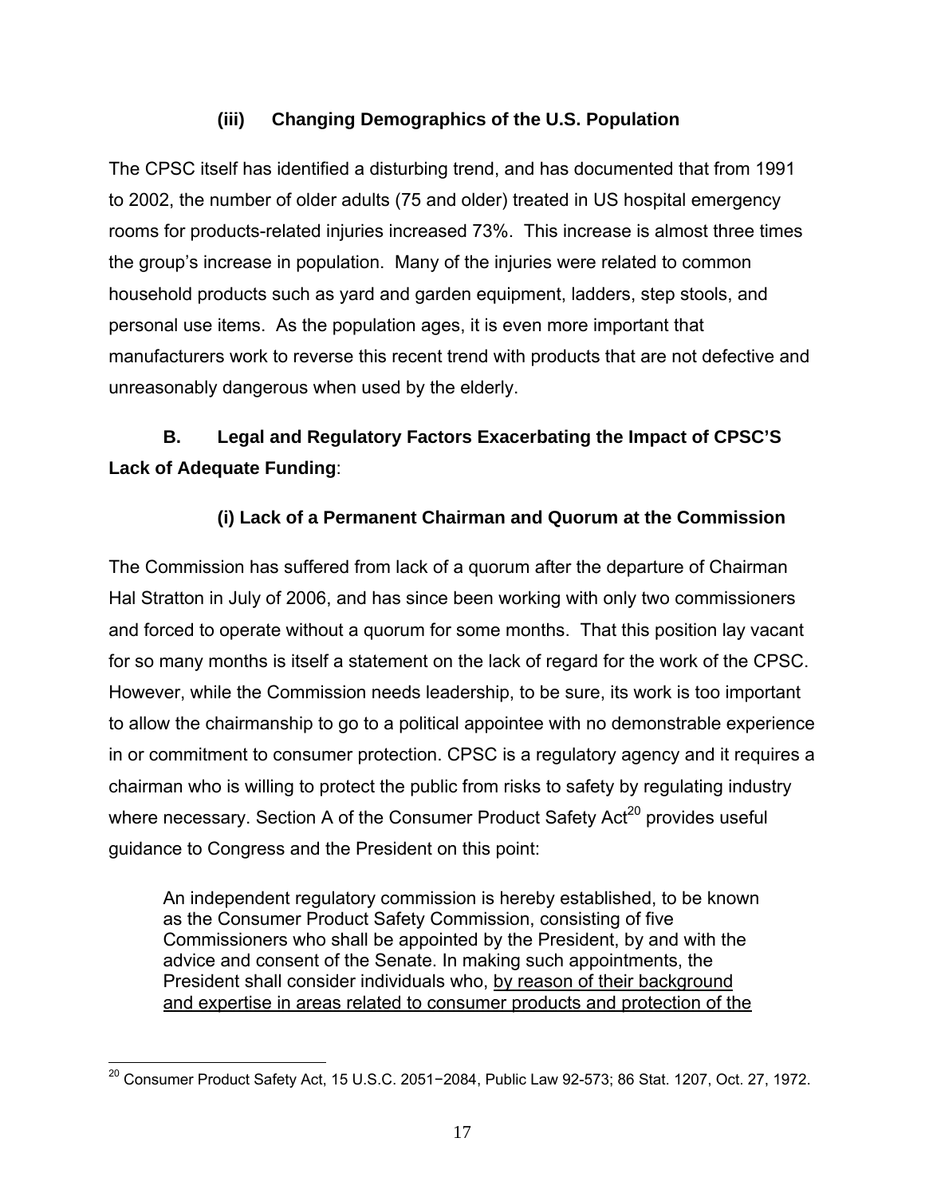### **(iii) Changing Demographics of the U.S. Population**

The CPSC itself has identified a disturbing trend, and has documented that from 1991 to 2002, the number of older adults (75 and older) treated in US hospital emergency rooms for products-related injuries increased 73%. This increase is almost three times the group's increase in population. Many of the injuries were related to common household products such as yard and garden equipment, ladders, step stools, and personal use items. As the population ages, it is even more important that manufacturers work to reverse this recent trend with products that are not defective and unreasonably dangerous when used by the elderly.

# **B. Legal and Regulatory Factors Exacerbating the Impact of CPSC'S Lack of Adequate Funding**:

### **(i) Lack of a Permanent Chairman and Quorum at the Commission**

The Commission has suffered from lack of a quorum after the departure of Chairman Hal Stratton in July of 2006, and has since been working with only two commissioners and forced to operate without a quorum for some months. That this position lay vacant for so many months is itself a statement on the lack of regard for the work of the CPSC. However, while the Commission needs leadership, to be sure, its work is too important to allow the chairmanship to go to a political appointee with no demonstrable experience in or commitment to consumer protection. CPSC is a regulatory agency and it requires a chairman who is willing to protect the public from risks to safety by regulating industry where necessary. Section A of the Consumer Product Safety Act<sup>20</sup> provides useful guidance to Congress and the President on this point:

An independent regulatory commission is hereby established, to be known as the Consumer Product Safety Commission, consisting of five Commissioners who shall be appointed by the President, by and with the advice and consent of the Senate. In making such appointments, the President shall consider individuals who, by reason of their background and expertise in areas related to consumer products and protection of the

 $\overline{a}$ <sup>20</sup> Consumer Product Safety Act, 15 U.S.C. 2051−2084, Public Law 92-573; 86 Stat. 1207, Oct. 27, 1972.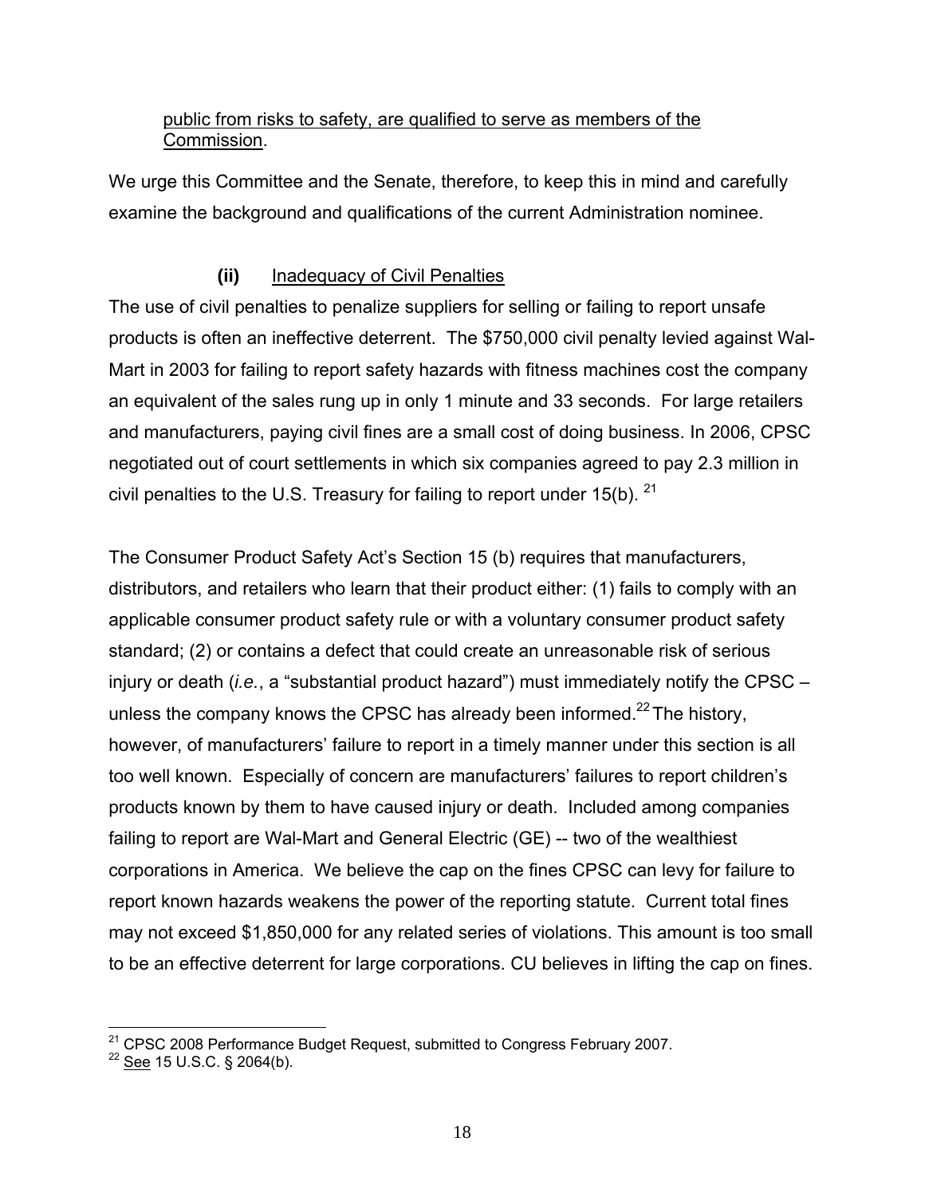### public from risks to safety, are qualified to serve as members of the Commission.

We urge this Committee and the Senate, therefore, to keep this in mind and carefully examine the background and qualifications of the current Administration nominee.

## **(ii)** Inadequacy of Civil Penalties

The use of civil penalties to penalize suppliers for selling or failing to report unsafe products is often an ineffective deterrent. The \$750,000 civil penalty levied against Wal-Mart in 2003 for failing to report safety hazards with fitness machines cost the company an equivalent of the sales rung up in only 1 minute and 33 seconds. For large retailers and manufacturers, paying civil fines are a small cost of doing business. In 2006, CPSC negotiated out of court settlements in which six companies agreed to pay 2.3 million in civil penalties to the U.S. Treasury for failing to report under  $15(b)$ . <sup>21</sup>

The Consumer Product Safety Act's Section 15 (b) requires that manufacturers, distributors, and retailers who learn that their product either: (1) fails to comply with an applicable consumer product safety rule or with a voluntary consumer product safety standard; (2) or contains a defect that could create an unreasonable risk of serious injury or death (*i.e.*, a "substantial product hazard") must immediately notify the CPSC – unless the company knows the CPSC has already been informed.<sup>22</sup> The history, however, of manufacturers' failure to report in a timely manner under this section is all too well known. Especially of concern are manufacturers' failures to report children's products known by them to have caused injury or death. Included among companies failing to report are Wal-Mart and General Electric (GE) -- two of the wealthiest corporations in America. We believe the cap on the fines CPSC can levy for failure to report known hazards weakens the power of the reporting statute. Current total fines may not exceed \$1,850,000 for any related series of violations. This amount is too small to be an effective deterrent for large corporations. CU believes in lifting the cap on fines.

 $\overline{a}$ <sup>21</sup> CPSC 2008 Performance Budget Request, submitted to Congress February 2007.<br><sup>22</sup> <u>See</u> 15 U.S.C. § 2064(b).